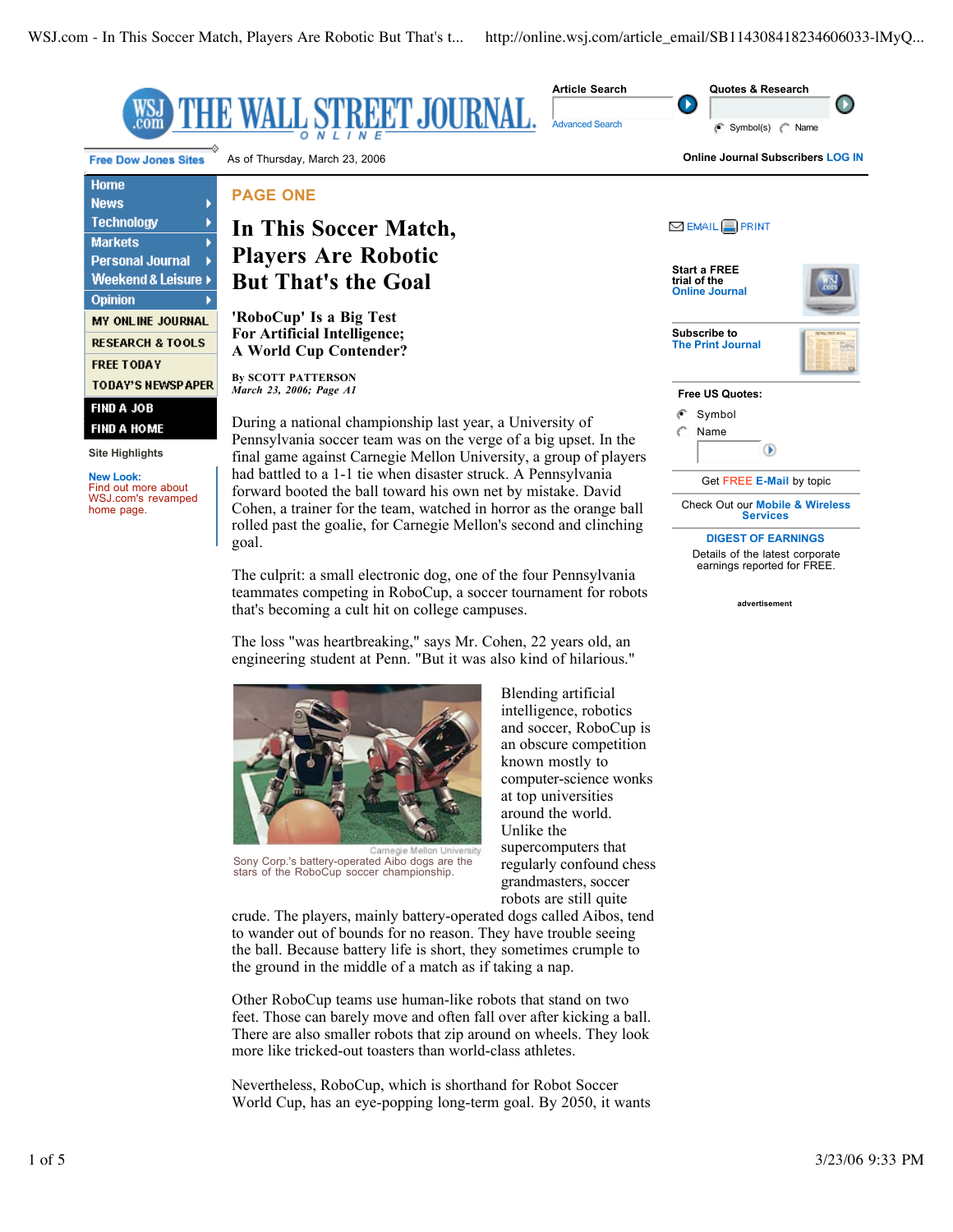WSJ.com - In This Soccer Match, Players Are Robotic But That's t... http://online.wsj.com/article\_email/SB114308418234606033-lMyQ...

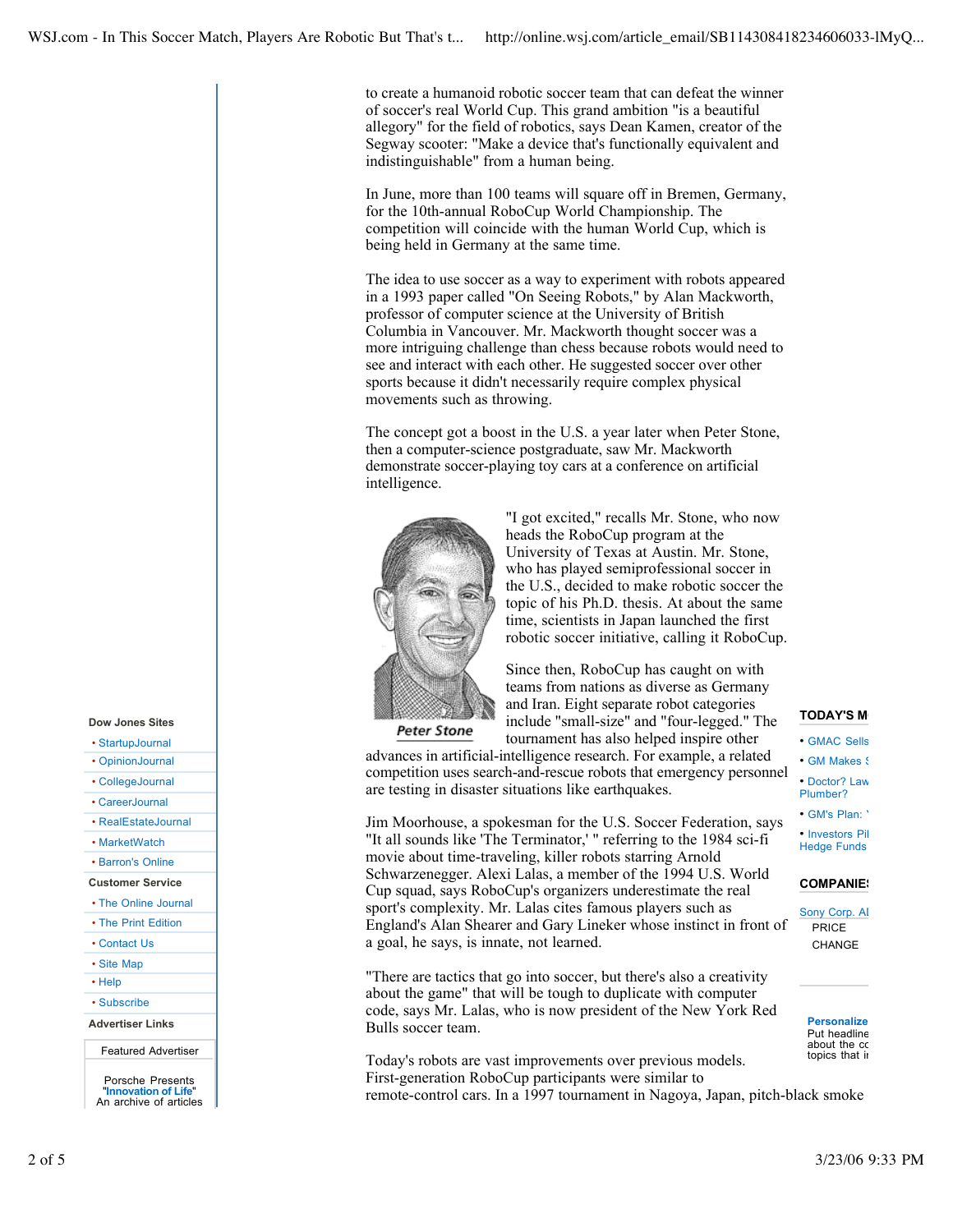to create a humanoid robotic soccer team that can defeat the winner of soccer's real World Cup. This grand ambition "is a beautiful allegory" for the field of robotics, says Dean Kamen, creator of the Segway scooter: "Make a device that's functionally equivalent and indistinguishable" from a human being.

In June, more than 100 teams will square off in Bremen, Germany, for the 10th-annual RoboCup World Championship. The competition will coincide with the human World Cup, which is being held in Germany at the same time.

The idea to use soccer as a way to experiment with robots appeared in a 1993 paper called "On Seeing Robots," by Alan Mackworth, professor of computer science at the University of British Columbia in Vancouver. Mr. Mackworth thought soccer was a more intriguing challenge than chess because robots would need to see and interact with each other. He suggested soccer over other sports because it didn't necessarily require complex physical movements such as throwing.

The concept got a boost in the U.S. a year later when Peter Stone, then a computer-science postgraduate, saw Mr. Mackworth demonstrate soccer-playing toy cars at a conference on artificial intelligence.



"I got excited," recalls Mr. Stone, who now heads the RoboCup program at the University of Texas at Austin. Mr. Stone, who has played semiprofessional soccer in the U.S., decided to make robotic soccer the topic of his Ph.D. thesis. At about the same time, scientists in Japan launched the first robotic soccer initiative, calling it RoboCup.

Since then, RoboCup has caught on with teams from nations as diverse as Germany and Iran. Eight separate robot categories include "small-size" and "four-legged." The tournament has also helped inspire other

advances in artificial-intelligence research. For example, a related competition uses search-and-rescue robots that emergency personnel are testing in disaster situations like earthquakes.

Jim Moorhouse, a spokesman for the U.S. Soccer Federation, says "It all sounds like 'The Terminator,' " referring to the 1984 sci-fi movie about time-traveling, killer robots starring Arnold Schwarzenegger. Alexi Lalas, a member of the 1994 U.S. World Cup squad, says RoboCup's organizers underestimate the real sport's complexity. Mr. Lalas cites famous players such as England's Alan Shearer and Gary Lineker whose instinct in front of a goal, he says, is innate, not learned.

"There are tactics that go into soccer, but there's also a creativity about the game" that will be tough to duplicate with computer code, says Mr. Lalas, who is now president of the New York Red Bulls soccer team.

topics that in Today's robots are vast improvements over previous models. First-generation RoboCup participants were similar to remote-control cars. In a 1997 tournament in Nagoya, Japan, pitch-black smoke

## **Dow Jones Sites**

- StartupJournal
- OpinionJournal
- CollegeJournal
- CareerJournal
- RealEstateJournal
- MarketWatch

## • Barron's Online

- **Customer Service**
- The Online Journal
- The Print Edition
- Contact Us
- Site Map
- Help
- Subscribe

**Advertiser Links**

Featured Advertiser

Porsche Presents "**Innovation of Life**" An archive of articles

**TODAY'S M**  $\cdot$  GMAC Sells  $\cdot$  GM Makes  $S$ • Doctor? Law Plumber? • GM's Plan: Y • Investors Pil Hedge Funds

**COMPANIES** Sony Corp. Al PRICE CHANGE

**Personalize** Put headline about the companies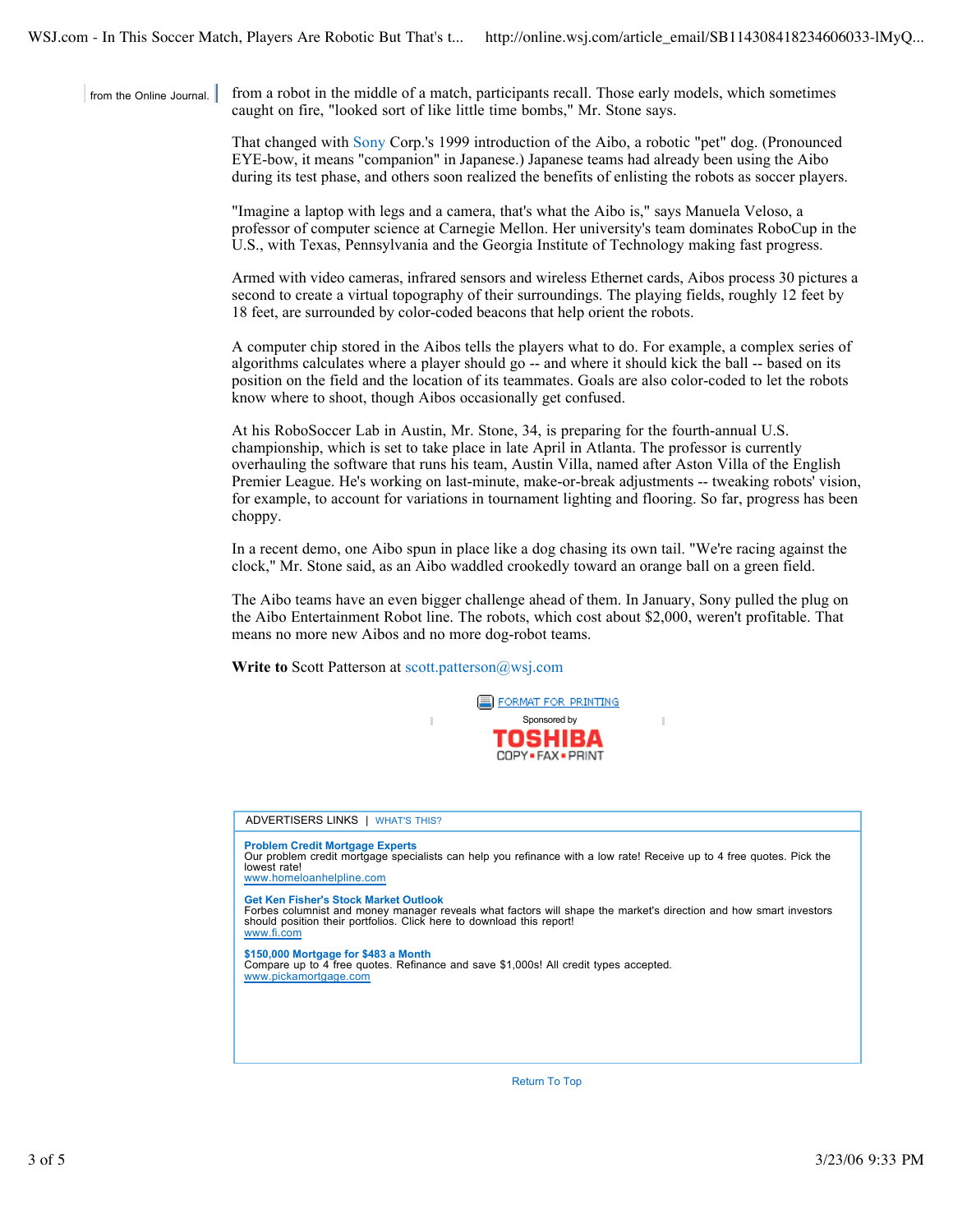from the Online Journal. from a robot in the middle of a match, participants recall. Those early models, which sometimes caught on fire, "looked sort of like little time bombs," Mr. Stone says.

> That changed with Sony Corp.'s 1999 introduction of the Aibo, a robotic "pet" dog. (Pronounced EYE-bow, it means "companion" in Japanese.) Japanese teams had already been using the Aibo during its test phase, and others soon realized the benefits of enlisting the robots as soccer players.

"Imagine a laptop with legs and a camera, that's what the Aibo is," says Manuela Veloso, a professor of computer science at Carnegie Mellon. Her university's team dominates RoboCup in the U.S., with Texas, Pennsylvania and the Georgia Institute of Technology making fast progress.

Armed with video cameras, infrared sensors and wireless Ethernet cards, Aibos process 30 pictures a second to create a virtual topography of their surroundings. The playing fields, roughly 12 feet by 18 feet, are surrounded by color-coded beacons that help orient the robots.

A computer chip stored in the Aibos tells the players what to do. For example, a complex series of algorithms calculates where a player should go -- and where it should kick the ball -- based on its position on the field and the location of its teammates. Goals are also color-coded to let the robots know where to shoot, though Aibos occasionally get confused.

At his RoboSoccer Lab in Austin, Mr. Stone, 34, is preparing for the fourth-annual U.S. championship, which is set to take place in late April in Atlanta. The professor is currently overhauling the software that runs his team, Austin Villa, named after Aston Villa of the English Premier League. He's working on last-minute, make-or-break adjustments -- tweaking robots' vision, for example, to account for variations in tournament lighting and flooring. So far, progress has been choppy.

In a recent demo, one Aibo spun in place like a dog chasing its own tail. "We're racing against the clock," Mr. Stone said, as an Aibo waddled crookedly toward an orange ball on a green field.

The Aibo teams have an even bigger challenge ahead of them. In January, Sony pulled the plug on the Aibo Entertainment Robot line. The robots, which cost about \$2,000, weren't profitable. That means no more new Aibos and no more dog-robot teams.

**Write to** Scott Patterson at scott.patterson@wsj.com



| <b>ADVERTISERS LINKS   WHAT'S THIS?</b>                                                                                                                                                                                                                  |
|----------------------------------------------------------------------------------------------------------------------------------------------------------------------------------------------------------------------------------------------------------|
| <b>Problem Credit Mortgage Experts</b><br>Our problem credit mortgage specialists can help you refinance with a low rate! Receive up to 4 free guotes. Pick the<br>lowest rate!<br>www.homeloanhelpline.com                                              |
| <b>Get Ken Fisher's Stock Market Outlook</b><br>Forbes columnist and money manager reveals what factors will shape the market's direction and how smart investors<br>should position their portfolios. Click here to download this report!<br>www.fi.com |
| \$150,000 Mortgage for \$483 a Month<br>Compare up to 4 free quotes. Refinance and save \$1,000s! All credit types accepted.<br>www.pickamortgage.com                                                                                                    |
|                                                                                                                                                                                                                                                          |
|                                                                                                                                                                                                                                                          |

Return To Top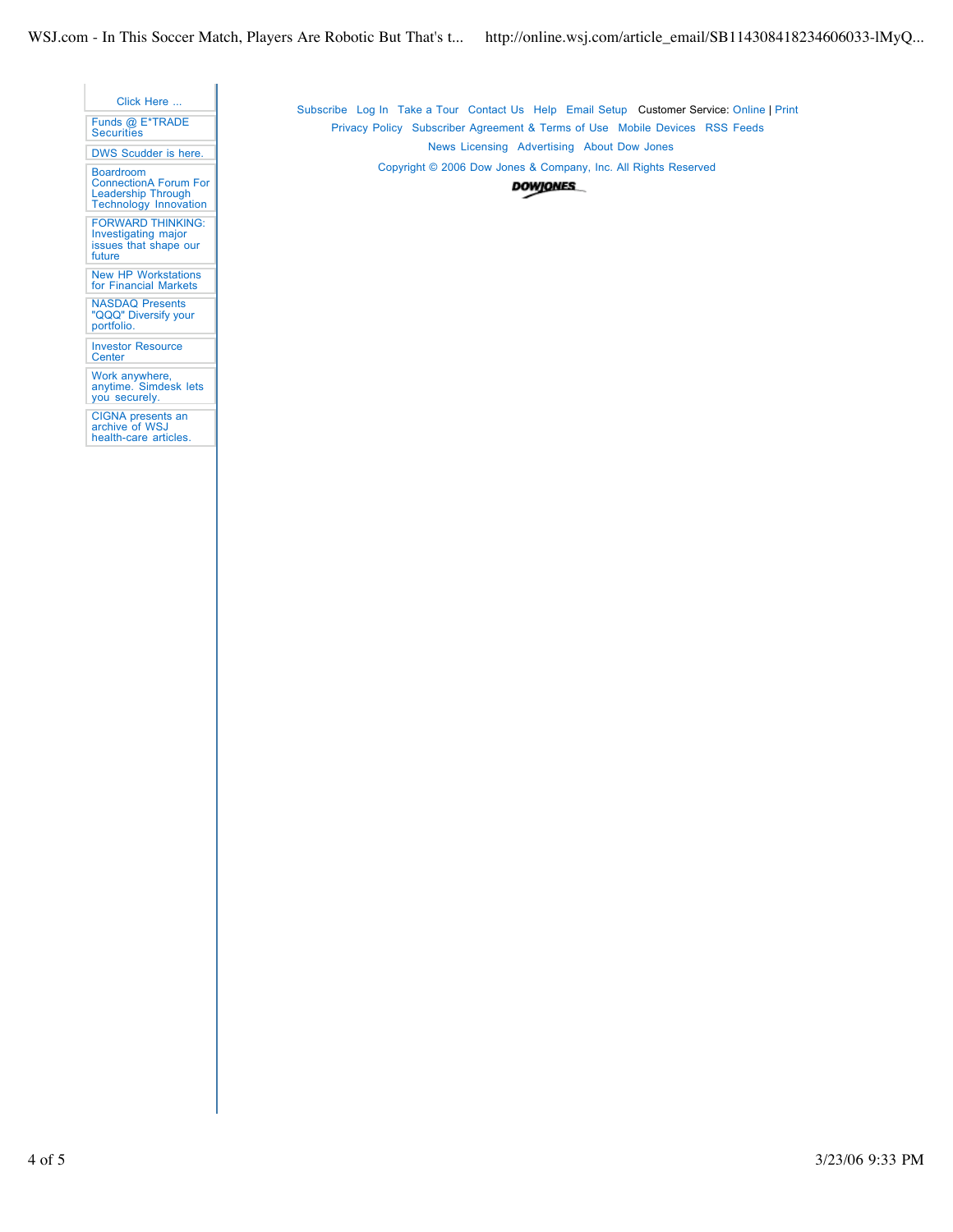WSJ.com - In This Soccer Match, Players Are Robotic But That's t... http://online.wsj.com/article\_email/SB114308418234606033-lMyQ...

| Click Here                                                                                                    |
|---------------------------------------------------------------------------------------------------------------|
| Funds @ E*TRADE<br><b>Securities</b>                                                                          |
| DWS Scudder is here.                                                                                          |
| <b>Boardroom</b><br><b>ConnectionA Forum For</b><br><b>Leadership Through</b><br><b>Technology Innovation</b> |
| <b>FORWARD THINKING:</b><br><b>Investigating major</b><br>issues that shape our<br>future                     |
| <b>New HP Workstations</b><br>for Financial Markets                                                           |
| <b>NASDAO</b> Presents<br>"QQQ" Diversify your<br>portfolio.                                                  |
|                                                                                                               |

Investor Resource Center

Work anywhere, anytime. Simdesk lets you securely.

CIGNA presents an archive of WSJ health-care articles.

Subscribe Log In Take a Tour Contact Us Help Email Setup Customer Service: Online | Print Privacy Policy Subscriber Agreement & Terms of Use Mobile Devices RSS Feeds News Licensing Advertising About Dow Jones Copyright © 2006 Dow Jones & Company, Inc. All Rights Reserved

**DOWJONES**